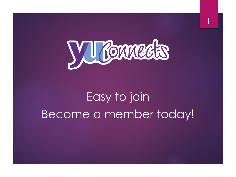

1

# Easy to join Become a member today!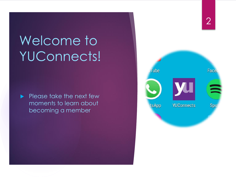# Welcome to YUConnects!

 $\blacktriangleright$  Please take the next few moments to learn about becoming a member

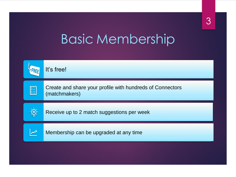## Basic Membership

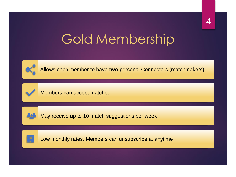## Gold Membership



Allows each member to have **two** personal Connectors (matchmakers)



Members can accept matches



May receive up to 10 match suggestions per week



Low monthly rates. Members can unsubscribe at anytime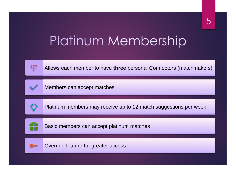## Platinum Membership



Allows each member to have **three** personal Connectors (matchmakers)



Members can accept matches



Platinum members may receive up to 12 match suggestions per week



Basic members can accept platinum matches



Override feature for greater access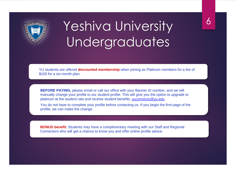

## Yeshiva University Undergraduates

YU students are offered **discounted membership** when joining as Platinum members for a fee of \$100 for a six-month plan.

**BEFORE PAYING,** please email or call our office with your Banner ID number, and we will manually change your profile to our student profile. This will give you the option to upgrade to platinum at the student rate and receive student benefits. [yuconnects@yu.edu](mailto:yuconnects@yu.edu)

You do not have to complete your profile before contacting us. If you begin the first page of the profile, we can make the change.

**BONUS benefit**: Students may have a complimentary meeting with our Staff and Regional Connectors who will get a chance to know you and offer online profile advice.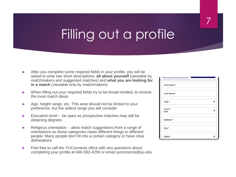## Filling out a profile

- ► After you complete some required fields in your profile, you will be asked to write two short descriptions: **all about yourself** (viewable by matchmakers and suggested matches) and **what you are looking for in a match** (viewable only by matchmakers)
- ► When filling out your required fields try to be broad minded, to receive the most match ideas
- ► Age, height range, etc. This area should not be limited to your preference, but the widest range you will consider
- ► Education level be open as prospective matches may still be obtaining degrees
- ► Religious orientation allow match suggestions from a range of orientations as these categories mean different things to different people. Many people don't fit into a certain category or have clear delineations
- ► Feel free to call the YUConnects office with any questions about completing your profile at 646-592-4259 or email yuconnects@yu.edu

| ں                       |
|-------------------------|
| First Name *            |
| Last Name*              |
| Title *                 |
| Country *<br><b>USA</b> |
| Address *               |
| City *                  |
| State *                 |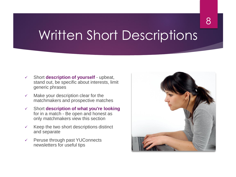### Written Short Descriptions

- ✓ Short **description of yourself**  upbeat, stand out, be specific about interests, limit generic phrases
- $\checkmark$  Make your description clear for the matchmakers and prospective matches
- ✓ Short **description of what you're looking**  for in a match - Be open and honest as only matchmakers view this section
- $\checkmark$  Keep the two short descriptions distinct and separate
- ✓ Peruse through past YUConnects newsletters for useful tips

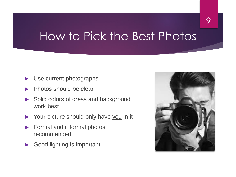#### How to Pick the Best Photos

- Use current photographs
- Photos should be clear
- Solid colors of dress and background work best
- Your picture should only have you in it
- ► Formal and informal photos recommended
- Good lighting is important

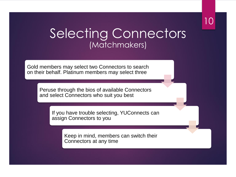#### 10

#### Selecting Connectors (Matchmakers)

Gold members may select two Connectors to search on their behalf. Platinum members may select three

> Peruse through the bios of available Connectors and select Connectors who suit you best

> > If you have trouble selecting, YUConnects can assign Connectors to you

> > > Keep in mind, members can switch their Connectors at any time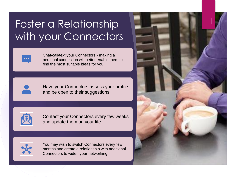#### Foster a Relationship with your Connectors



Chat/call/text your Connectors - making a personal connection will better enable them to find the most suitable ideas for you



Have your Connectors assess your profile and be open to their suggestions



Contact your Connectors every few weeks and update them on your life



You may wish to switch Connectors every few months and create a relationship with additional Connectors to widen your networking

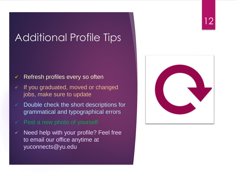#### Additional Profile Tips

#### $\checkmark$  Refresh profiles every so often

- ✓ If you graduated, moved or changed jobs, make sure to update
- $\checkmark$  Double check the short descriptions for grammatical and typographical errors
- $\checkmark$  Post a new photo of yourself
- $\checkmark$  Need help with your profile? Feel free to email our office anytime at yuconnects@yu.edu